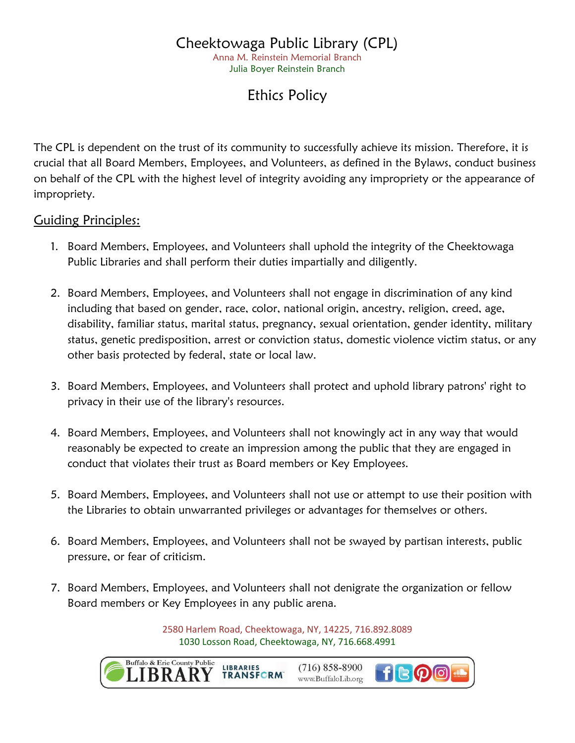## Cheektowaga Public Library (CPL)

Anna M. Reinstein Memorial Branch Julia Boyer Reinstein Branch

## Ethics Policy

The CPL is dependent on the trust of its community to successfully achieve its mission. Therefore, it is crucial that all Board Members, Employees, and Volunteers, as defined in the Bylaws, conduct business on behalf of the CPL with the highest level of integrity avoiding any impropriety or the appearance of impropriety.

## Guiding Principles:

- 1. Board Members, Employees, and Volunteers shall uphold the integrity of the Cheektowaga Public Libraries and shall perform their duties impartially and diligently.
- 2. Board Members, Employees, and Volunteers shall not engage in discrimination of any kind including that based on gender, race, color, national origin, ancestry, religion, creed, age, disability, familiar status, marital status, pregnancy, sexual orientation, gender identity, military status, genetic predisposition, arrest or conviction status, domestic violence victim status, or any other basis protected by federal, state or local law.
- 3. Board Members, Employees, and Volunteers shall protect and uphold library patrons' right to privacy in their use of the library's resources.
- 4. Board Members, Employees, and Volunteers shall not knowingly act in any way that would reasonably be expected to create an impression among the public that they are engaged in conduct that violates their trust as Board members or Key Employees.
- 5. Board Members, Employees, and Volunteers shall not use or attempt to use their position with the Libraries to obtain unwarranted privileges or advantages for themselves or others.
- 6. Board Members, Employees, and Volunteers shall not be swayed by partisan interests, public pressure, or fear of criticism.
- 7. Board Members, Employees, and Volunteers shall not denigrate the organization or fellow Board members or Key Employees in any public arena.

2580 Harlem Road, Cheektowaga, NY, 14225, 716.892.8089 1030 Losson Road, Cheektowaga, NY, 716.668.4991